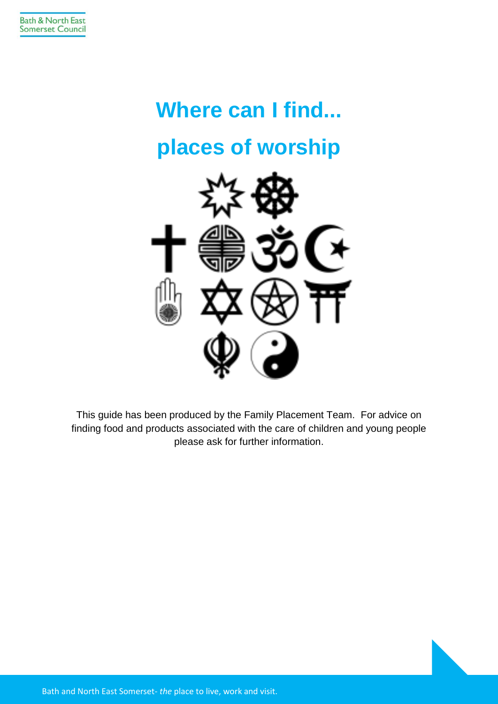# **Where can I find... places of worship**



This guide has been produced by the Family Placement Team. For advice on finding food and products associated with the care of children and young people please ask for further information.

Bath and North East Somerset- *the* place to live, work and visit.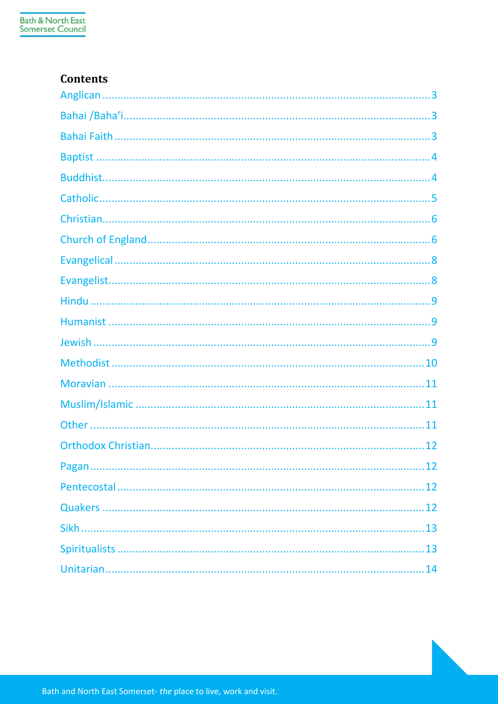#### **Contents**

| $\dots$ 12 |
|------------|
|            |
|            |
|            |
|            |
|            |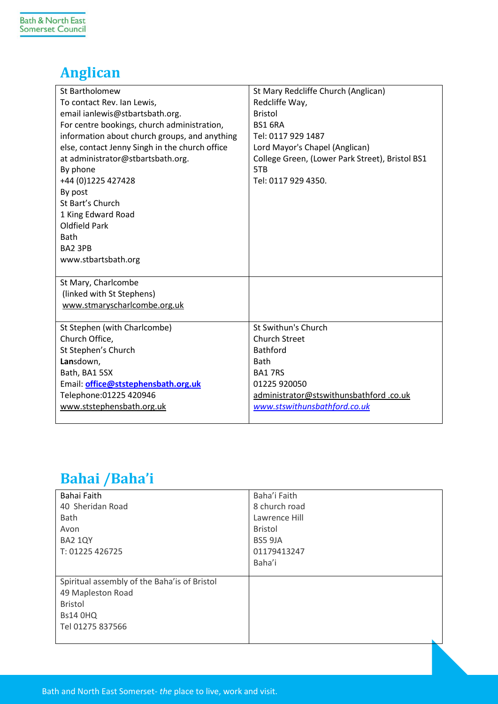## <span id="page-2-0"></span>**Anglican**

| St Bartholomew                                 | St Mary Redcliffe Church (Anglican)             |
|------------------------------------------------|-------------------------------------------------|
| To contact Rev. Ian Lewis,                     | Redcliffe Way,                                  |
| email ianlewis@stbartsbath.org.                | <b>Bristol</b>                                  |
| For centre bookings, church administration,    | <b>BS1 6RA</b>                                  |
| information about church groups, and anything  | Tel: 0117 929 1487                              |
| else, contact Jenny Singh in the church office | Lord Mayor's Chapel (Anglican)                  |
| at administrator@stbartsbath.org.              | College Green, (Lower Park Street), Bristol BS1 |
| By phone                                       | 5TB                                             |
| +44 (0)1225 427428                             | Tel: 0117 929 4350.                             |
| By post                                        |                                                 |
| St Bart's Church                               |                                                 |
| 1 King Edward Road                             |                                                 |
| Oldfield Park                                  |                                                 |
| <b>Bath</b>                                    |                                                 |
| BA2 3PB                                        |                                                 |
| www.stbartsbath.org                            |                                                 |
|                                                |                                                 |
| St Mary, Charlcombe                            |                                                 |
| (linked with St Stephens)                      |                                                 |
| www.stmaryscharlcombe.org.uk                   |                                                 |
|                                                |                                                 |
| St Stephen (with Charlcombe)                   | St Swithun's Church                             |
| Church Office,                                 | <b>Church Street</b><br><b>Bathford</b>         |
| St Stephen's Church                            | <b>Bath</b>                                     |
| Lansdown,<br>Bath, BA1 5SX                     | <b>BA17RS</b>                                   |
|                                                | 01225 920050                                    |
| Email: office@ststephensbath.org.uk            |                                                 |
| Telephone: 01225 420946                        | administrator@stswithunsbathford.co.uk          |
| www.ststephensbath.org.uk                      | www.stswithunsbathford.co.uk                    |

## <span id="page-2-1"></span>**Bahai /Baha'i**

<span id="page-2-2"></span>

| Bahai Faith                                  | Baha'i Faith   |
|----------------------------------------------|----------------|
| 40 Sheridan Road                             | 8 church road  |
| Bath                                         | Lawrence Hill  |
| Avon                                         | <b>Bristol</b> |
| BA2 1QY                                      | <b>BS5 9JA</b> |
| T: 01225 426725                              | 01179413247    |
|                                              | Baha'i         |
|                                              |                |
| Spiritual assembly of the Baha'is of Bristol |                |
| 49 Mapleston Road                            |                |
| <b>Bristol</b>                               |                |
| <b>Bs14 0HQ</b>                              |                |
| Tel 01275 837566                             |                |
|                                              |                |

Bath and North East Somerset- *the* place to live, work and visit.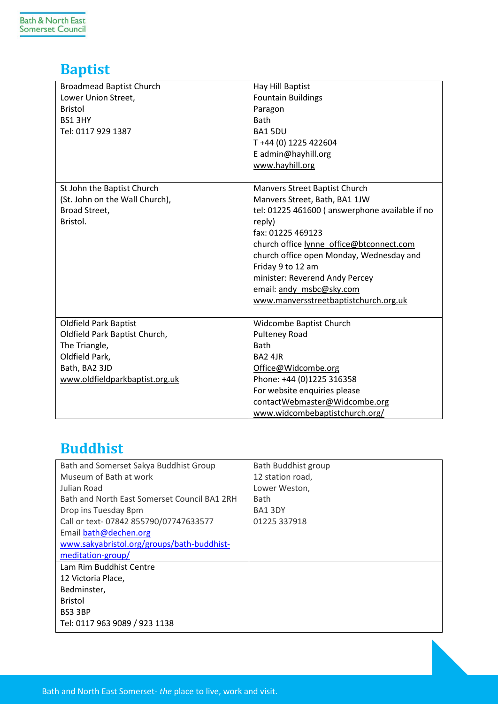## <span id="page-3-0"></span>**Baptist**

| <b>Broadmead Baptist Church</b><br>Lower Union Street,<br><b>Bristol</b><br>BS1 3HY<br>Tel: 0117 929 1387                                           | Hay Hill Baptist<br><b>Fountain Buildings</b><br>Paragon<br>Bath<br>BA1 5DU<br>T+44 (0) 1225 422604<br>E admin@hayhill.org<br>www.hayhill.org                                                                                                                                                                                                                       |
|-----------------------------------------------------------------------------------------------------------------------------------------------------|---------------------------------------------------------------------------------------------------------------------------------------------------------------------------------------------------------------------------------------------------------------------------------------------------------------------------------------------------------------------|
| St John the Baptist Church<br>(St. John on the Wall Church),<br>Broad Street,<br>Bristol.                                                           | Manvers Street Baptist Church<br>Manvers Street, Bath, BA1 1JW<br>tel: 01225 461600 (answerphone available if no<br>reply)<br>fax: 01225 469123<br>church office lynne office@btconnect.com<br>church office open Monday, Wednesday and<br>Friday 9 to 12 am<br>minister: Reverend Andy Percey<br>email: andy msbc@sky.com<br>www.manversstreetbaptistchurch.org.uk |
| <b>Oldfield Park Baptist</b><br>Oldfield Park Baptist Church,<br>The Triangle,<br>Oldfield Park,<br>Bath, BA2 3JD<br>www.oldfieldparkbaptist.org.uk | Widcombe Baptist Church<br><b>Pulteney Road</b><br>Bath<br><b>BA2 4JR</b><br>Office@Widcombe.org<br>Phone: +44 (0)1225 316358<br>For website enquiries please<br>contactWebmaster@Widcombe.org<br>www.widcombebaptistchurch.org/                                                                                                                                    |

## <span id="page-3-1"></span>**Buddhist**

| Bath and Somerset Sakya Buddhist Group       | Bath Buddhist group |
|----------------------------------------------|---------------------|
| Museum of Bath at work                       | 12 station road,    |
| Julian Road                                  | Lower Weston,       |
| Bath and North Fast Somerset Council BA1 2RH | Bath                |
| Drop ins Tuesday 8pm                         | BA13DY              |
| Call or text-07842 855790/07747633577        | 01225 337918        |
| Email bath@dechen.org                        |                     |
| www.sakyabristol.org/groups/bath-buddhist-   |                     |
| meditation-group/                            |                     |
| Lam Rim Buddhist Centre                      |                     |
| 12 Victoria Place,                           |                     |
| Bedminster,                                  |                     |
| <b>Bristol</b>                               |                     |
| BS3 3BP                                      |                     |
| Tel: 0117 963 9089 / 923 1138                |                     |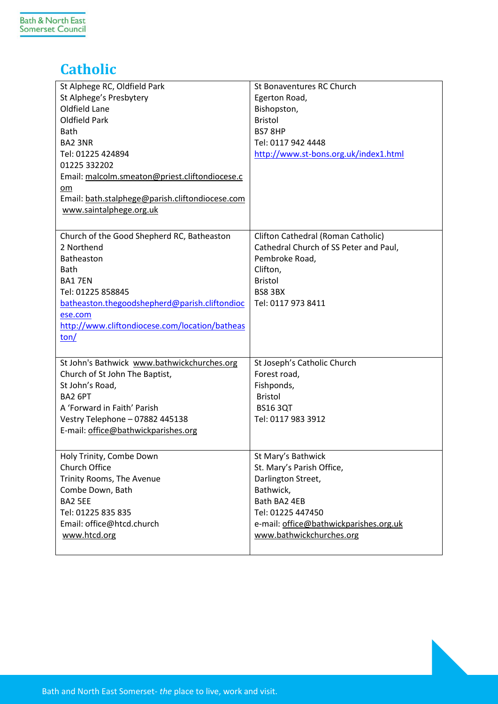## <span id="page-4-0"></span>**Catholic**

| St Alphege RC, Oldfield Park<br>St Alphege's Presbytery<br>Oldfield Lane<br><b>Oldfield Park</b><br>Bath<br><b>BA2 3NR</b><br>Tel: 01225 424894<br>01225 332202<br>Email: malcolm.smeaton@priest.cliftondiocese.c<br>$om$<br>Email: bath.stalphege@parish.cliftondiocese.com<br>www.saintalphege.org.uk | St Bonaventures RC Church<br>Egerton Road,<br>Bishopston,<br><b>Bristol</b><br>BS78HP<br>Tel: 0117 942 4448<br>http://www.st-bons.org.uk/index1.html                                          |
|---------------------------------------------------------------------------------------------------------------------------------------------------------------------------------------------------------------------------------------------------------------------------------------------------------|-----------------------------------------------------------------------------------------------------------------------------------------------------------------------------------------------|
| Church of the Good Shepherd RC, Batheaston<br>2 Northend<br>Batheaston<br><b>Bath</b><br><b>BA17EN</b><br>Tel: 01225 858845<br>batheaston.thegoodshepherd@parish.cliftondioc<br>ese.com<br>http://www.cliftondiocese.com/location/batheas<br>$\text{ton}/$                                              | Clifton Cathedral (Roman Catholic)<br>Cathedral Church of SS Peter and Paul,<br>Pembroke Road,<br>Clifton,<br><b>Bristol</b><br>BS8 3BX<br>Tel: 0117 973 8411                                 |
| St John's Bathwick www.bathwickchurches.org<br>Church of St John The Baptist,<br>St John's Road,<br>BA2 6PT<br>A 'Forward in Faith' Parish<br>Vestry Telephone - 07882 445138<br>E-mail: office@bathwickparishes.org                                                                                    | St Joseph's Catholic Church<br>Forest road,<br>Fishponds,<br><b>Bristol</b><br><b>BS16 3QT</b><br>Tel: 0117 983 3912                                                                          |
| Holy Trinity, Combe Down<br>Church Office<br>Trinity Rooms, The Avenue<br>Combe Down, Bath<br>BA2 5EE<br>Tel: 01225 835 835<br>Email: office@htcd.church<br>www.htcd.org                                                                                                                                | St Mary's Bathwick<br>St. Mary's Parish Office,<br>Darlington Street,<br>Bathwick,<br>Bath BA2 4EB<br>Tel: 01225 447450<br>e-mail: office@bathwickparishes.org.uk<br>www.bathwickchurches.org |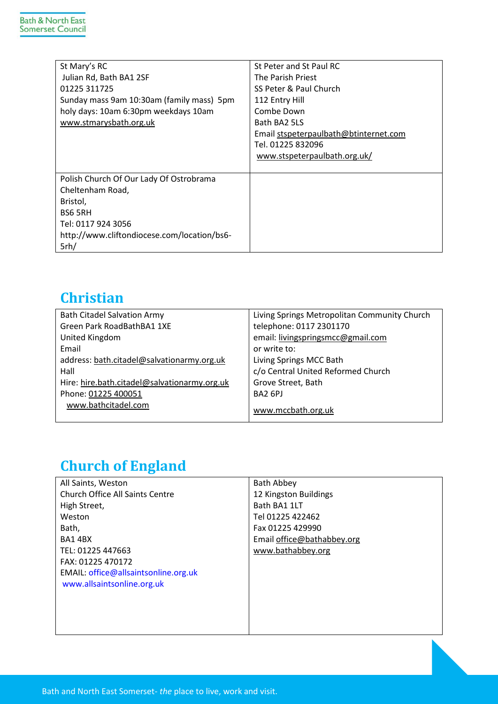| St Mary's RC                                | St Peter and St Paul RC               |
|---------------------------------------------|---------------------------------------|
| Julian Rd, Bath BA1 2SF                     | The Parish Priest                     |
| 01225 311725                                | SS Peter & Paul Church                |
| Sunday mass 9am 10:30am (family mass) 5pm   | 112 Entry Hill                        |
| holy days: 10am 6:30pm weekdays 10am        | Combe Down                            |
| www.stmarysbath.org.uk                      | Bath BA2 5LS                          |
|                                             | Email stspeterpaulbath@btinternet.com |
|                                             | Tel. 01225 832096                     |
|                                             | www.stspeterpaulbath.org.uk/          |
|                                             |                                       |
| Polish Church Of Our Lady Of Ostrobrama     |                                       |
| Cheltenham Road,                            |                                       |
| Bristol,                                    |                                       |
| BS6 5RH                                     |                                       |
| Tel: 0117 924 3056                          |                                       |
| http://www.cliftondiocese.com/location/bs6- |                                       |
| 5rh/                                        |                                       |

## <span id="page-5-0"></span>**Christian**

| <b>Bath Citadel Salvation Army</b>           | Living Springs Metropolitan Community Church |
|----------------------------------------------|----------------------------------------------|
| Green Park RoadBathBA1 1XE                   | telephone: 0117 2301170                      |
| United Kingdom                               | email: livingspringsmcc@gmail.com            |
| Email                                        | or write to:                                 |
| address: bath.citadel@salvationarmy.org.uk   | Living Springs MCC Bath                      |
| Hall                                         | c/o Central United Reformed Church           |
| Hire: hire.bath.citadel@salvationarmy.org.uk | Grove Street, Bath                           |
| Phone: 01225 400051                          | BA <sub>2</sub> 6PJ                          |
| www.bathcitadel.com                          | www.mccbath.org.uk                           |

## <span id="page-5-1"></span>**Church of England**

| All Saints, Weston                     | <b>Bath Abbey</b>          |
|----------------------------------------|----------------------------|
| <b>Church Office All Saints Centre</b> | 12 Kingston Buildings      |
| High Street,                           | Bath BA1 1LT               |
| Weston                                 | Tel 01225 422462           |
| Bath,                                  | Fax 01225 429990           |
| BA14BX                                 | Email office@bathabbey.org |
| TEL: 01225 447663                      | www.bathabbey.org          |
| FAX: 01225 470172                      |                            |
| EMAIL: office@allsaintsonline.org.uk   |                            |
| www.allsaintsonline.org.uk             |                            |
|                                        |                            |
|                                        |                            |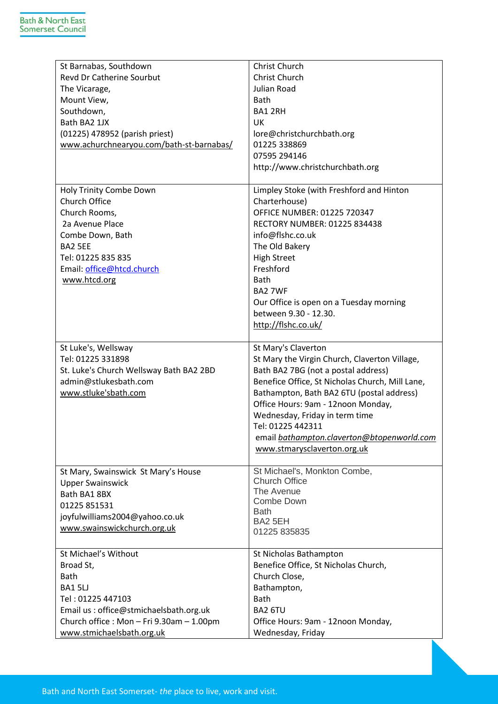| St Barnabas, Southdown                   | Christ Church                                        |
|------------------------------------------|------------------------------------------------------|
| <b>Revd Dr Catherine Sourbut</b>         | Christ Church                                        |
| The Vicarage,                            | Julian Road                                          |
| Mount View,                              | <b>Bath</b>                                          |
| Southdown,                               | <b>BA1 2RH</b>                                       |
| Bath BA2 1JX                             | <b>UK</b>                                            |
| (01225) 478952 (parish priest)           | lore@christchurchbath.org                            |
| www.achurchnearyou.com/bath-st-barnabas/ | 01225 338869                                         |
|                                          | 07595 294146                                         |
|                                          | http://www.christchurchbath.org                      |
|                                          |                                                      |
| Holy Trinity Combe Down                  | Limpley Stoke (with Freshford and Hinton             |
| Church Office                            | Charterhouse)                                        |
| Church Rooms,                            | OFFICE NUMBER: 01225 720347                          |
| 2a Avenue Place                          | RECTORY NUMBER: 01225 834438                         |
| Combe Down, Bath                         | info@flshc.co.uk                                     |
| BA2 5EE                                  | The Old Bakery                                       |
| Tel: 01225 835 835                       | <b>High Street</b>                                   |
| Email: office@htcd.church                | Freshford                                            |
| www.htcd.org                             | Bath                                                 |
|                                          | <b>BA2 7WF</b>                                       |
|                                          |                                                      |
|                                          | Our Office is open on a Tuesday morning              |
|                                          | between 9.30 - 12.30.                                |
|                                          | http://flshc.co.uk/                                  |
| St Luke's, Wellsway                      | St Mary's Claverton                                  |
| Tel: 01225 331898                        |                                                      |
|                                          | St Mary the Virgin Church, Claverton Village,        |
| St. Luke's Church Wellsway Bath BA2 2BD  | Bath BA2 7BG (not a postal address)                  |
| admin@stlukesbath.com                    | Benefice Office, St Nicholas Church, Mill Lane,      |
| www.stluke'sbath.com                     | Bathampton, Bath BA2 6TU (postal address)            |
|                                          | Office Hours: 9am - 12noon Monday,                   |
|                                          | Wednesday, Friday in term time                       |
|                                          | Tel: 01225 442311                                    |
|                                          | email bathampton.claverton@btopenworld.com           |
|                                          | www.stmarysclaverton.org.uk                          |
|                                          |                                                      |
| St Mary, Swainswick St Mary's House      | St Michael's, Monkton Combe,<br><b>Church Office</b> |
| <b>Upper Swainswick</b>                  | The Avenue                                           |
| Bath BA1 8BX                             | Combe Down                                           |
| 01225 851531                             | <b>Bath</b>                                          |
| joyfulwilliams2004@yahoo.co.uk           | BA2 5EH                                              |
| www.swainswickchurch.org.uk              | 01225 835835                                         |
|                                          |                                                      |
| St Michael's Without                     | St Nicholas Bathampton                               |
| Broad St,                                | Benefice Office, St Nicholas Church,                 |
| <b>Bath</b>                              | Church Close,                                        |
| <b>BA1 5LJ</b>                           | Bathampton,                                          |
| Tel: 01225 447103                        | <b>Bath</b>                                          |
| Email us : office@stmichaelsbath.org.uk  | BA2 6TU                                              |
| Church office: Mon - Fri 9.30am - 1.00pm | Office Hours: 9am - 12noon Monday,                   |
| www.stmichaelsbath.org.uk                | Wednesday, Friday                                    |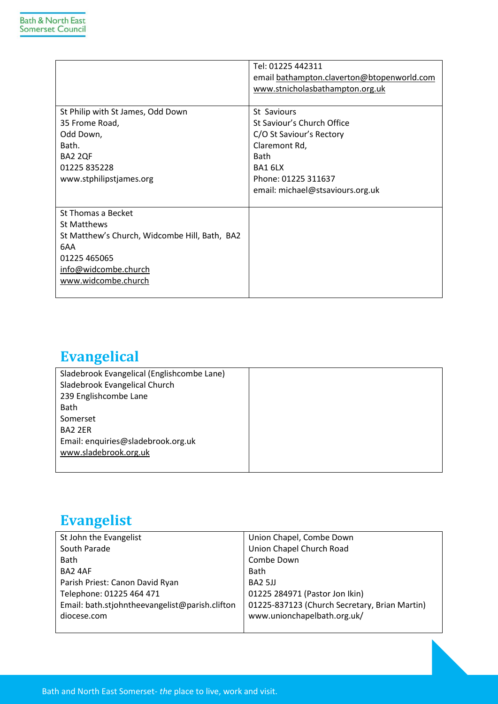|                                               | Tel: 01225 442311                          |
|-----------------------------------------------|--------------------------------------------|
|                                               | email bathampton.claverton@btopenworld.com |
|                                               | www.stnicholasbathampton.org.uk            |
|                                               |                                            |
| St Philip with St James, Odd Down             | St Saviours                                |
| 35 Frome Road,                                | St Saviour's Church Office                 |
| Odd Down,                                     | C/O St Saviour's Rectory                   |
| Bath.                                         | Claremont Rd,                              |
| BA2 2QF                                       | Bath                                       |
| 01225 835228                                  | BA1 6LX                                    |
| www.stphilipstjames.org                       | Phone: 01225 311637                        |
|                                               | email: michael@stsaviours.org.uk           |
|                                               |                                            |
| St Thomas a Becket                            |                                            |
| St Matthews                                   |                                            |
| St Matthew's Church, Widcombe Hill, Bath, BA2 |                                            |
| 6AA                                           |                                            |
| 01225 465065                                  |                                            |
| info@widcombe.church                          |                                            |
| www.widcombe.church                           |                                            |
|                                               |                                            |

## <span id="page-7-0"></span>**Evangelical**

## <span id="page-7-1"></span>**Evangelist**

| St John the Evangelist                         | Union Chapel, Combe Down                      |
|------------------------------------------------|-----------------------------------------------|
| South Parade                                   | Union Chapel Church Road                      |
| <b>Bath</b>                                    | Combe Down                                    |
| BA2 4AF                                        | Bath                                          |
| Parish Priest: Canon David Ryan                | BA2 5JJ                                       |
| Telephone: 01225 464 471                       | 01225 284971 (Pastor Jon Ikin)                |
| Email: bath.stjohntheevangelist@parish.clifton | 01225-837123 (Church Secretary, Brian Martin) |
| diocese.com                                    | www.unionchapelbath.org.uk/                   |
|                                                |                                               |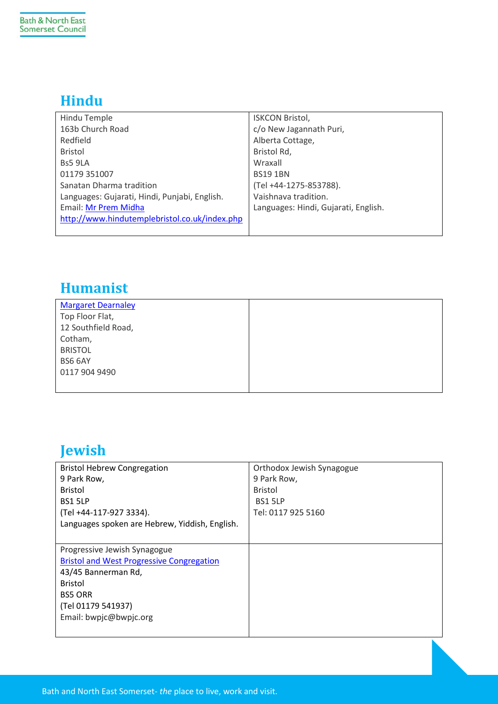## <span id="page-8-0"></span>**Hindu**

| Hindu Temple                                  | <b>ISKCON Bristol,</b>               |
|-----------------------------------------------|--------------------------------------|
| 163b Church Road                              | c/o New Jagannath Puri,              |
| Redfield                                      | Alberta Cottage,                     |
| <b>Bristol</b>                                | Bristol Rd,                          |
| Bs5 9LA                                       | Wraxall                              |
| 01179 351007                                  | <b>BS191BN</b>                       |
| Sanatan Dharma tradition                      | (Tel +44-1275-853788).               |
| Languages: Gujarati, Hindi, Punjabi, English. | Vaishnava tradition.                 |
| Email: Mr Prem Midha                          | Languages: Hindi, Gujarati, English. |
| http://www.hindutemplebristol.co.uk/index.php |                                      |
|                                               |                                      |

#### <span id="page-8-1"></span>**Humanist**

| <b>Margaret Dearnaley</b> |  |
|---------------------------|--|
| Top Floor Flat,           |  |
| 12 Southfield Road,       |  |
| Cotham,                   |  |
| <b>BRISTOL</b>            |  |
| BS6 6AY                   |  |
| 0117 904 9490             |  |
|                           |  |

## <span id="page-8-2"></span>**Jewish**

| <b>Bristol Hebrew Congregation</b>               | Orthodox Jewish Synagogue |
|--------------------------------------------------|---------------------------|
| 9 Park Row,                                      | 9 Park Row,               |
| <b>Bristol</b>                                   | <b>Bristol</b>            |
| BS1 5LP                                          | <b>BS1 5LP</b>            |
| (Tel +44-117-927 3334).                          | Tel: 0117 925 5160        |
| Languages spoken are Hebrew, Yiddish, English.   |                           |
|                                                  |                           |
| Progressive Jewish Synagogue                     |                           |
| <b>Bristol and West Progressive Congregation</b> |                           |
| 43/45 Bannerman Rd,                              |                           |
| <b>Bristol</b>                                   |                           |
| <b>BS5 ORR</b>                                   |                           |
| (Tel 01179 541937)                               |                           |
| Email: bwpjc@bwpjc.org                           |                           |
|                                                  |                           |
|                                                  |                           |

Bath and North East Somerset- *the* place to live, work and visit.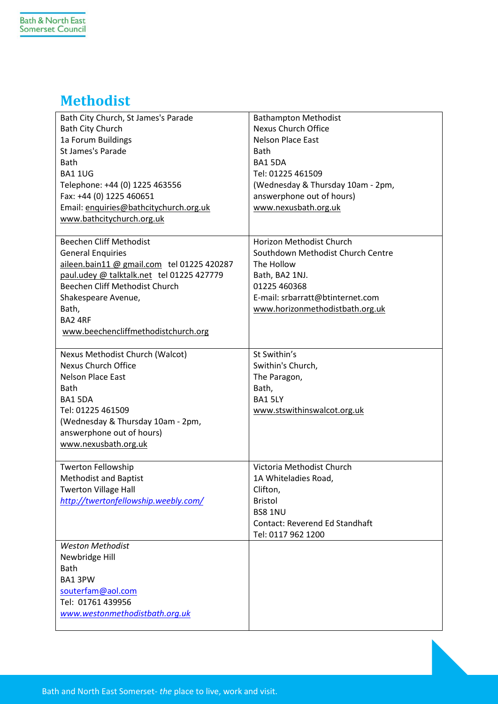## <span id="page-9-0"></span>**Methodist**

| Bath City Church, St James's Parade        | <b>Bathampton Methodist</b>           |
|--------------------------------------------|---------------------------------------|
| <b>Bath City Church</b>                    | Nexus Church Office                   |
| 1a Forum Buildings                         | <b>Nelson Place East</b>              |
| St James's Parade                          | <b>Bath</b>                           |
| <b>Bath</b>                                | BA15DA                                |
| <b>BA1 1UG</b>                             | Tel: 01225 461509                     |
| Telephone: +44 (0) 1225 463556             | (Wednesday & Thursday 10am - 2pm,     |
| Fax: +44 (0) 1225 460651                   | answerphone out of hours)             |
| Email: enquiries@bathcitychurch.org.uk     | www.nexusbath.org.uk                  |
| www.bathcitychurch.org.uk                  |                                       |
|                                            |                                       |
| <b>Beechen Cliff Methodist</b>             | Horizon Methodist Church              |
| <b>General Enquiries</b>                   | Southdown Methodist Church Centre     |
| aileen.bain11 @ gmail.com tel 01225 420287 | The Hollow                            |
| paul.udey @ talktalk.net tel 01225 427779  | Bath, BA2 1NJ.                        |
| Beechen Cliff Methodist Church             | 01225 460368                          |
| Shakespeare Avenue,                        | E-mail: srbarratt@btinternet.com      |
| Bath,                                      | www.horizonmethodistbath.org.uk       |
| BA2 4RF                                    |                                       |
| www.beechencliffmethodistchurch.org        |                                       |
|                                            |                                       |
| Nexus Methodist Church (Walcot)            | St Swithin's                          |
| <b>Nexus Church Office</b>                 | Swithin's Church,                     |
| <b>Nelson Place East</b>                   | The Paragon,                          |
| <b>Bath</b>                                | Bath,                                 |
| BA15DA                                     | BA1 5LY                               |
| Tel: 01225 461509                          | www.stswithinswalcot.org.uk           |
| (Wednesday & Thursday 10am - 2pm,          |                                       |
| answerphone out of hours)                  |                                       |
| www.nexusbath.org.uk                       |                                       |
|                                            |                                       |
| <b>Twerton Fellowship</b>                  | Victoria Methodist Church             |
| <b>Methodist and Baptist</b>               | 1A Whiteladies Road,                  |
| <b>Twerton Village Hall</b>                | Clifton,                              |
| http://twertonfellowship.weebly.com/       | <b>Bristol</b>                        |
|                                            | <b>BS8 1NU</b>                        |
|                                            | <b>Contact: Reverend Ed Standhaft</b> |
|                                            | Tel: 0117 962 1200                    |
| <b>Weston Methodist</b>                    |                                       |
| Newbridge Hill                             |                                       |
| <b>Bath</b>                                |                                       |
| BA1 3PW                                    |                                       |
| souterfam@aol.com                          |                                       |
| Tel: 01761 439956                          |                                       |
| www.westonmethodistbath.org.uk             |                                       |
|                                            |                                       |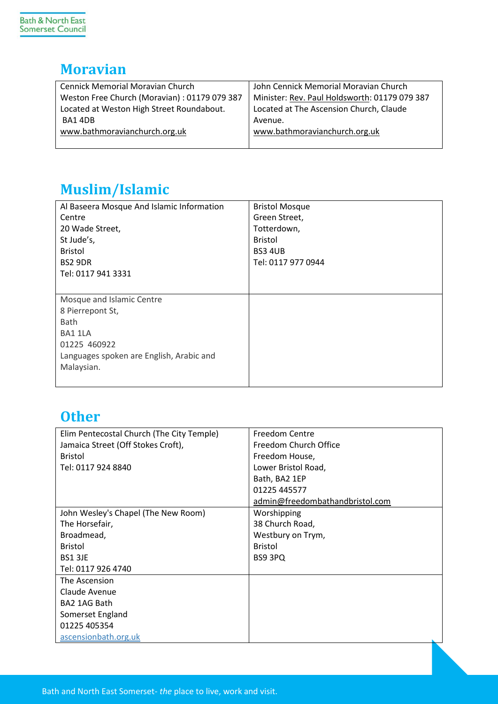#### <span id="page-10-0"></span>**Moravian**

| <b>Cennick Memorial Moravian Church</b>      | John Cennick Memorial Moravian Church         |
|----------------------------------------------|-----------------------------------------------|
| Weston Free Church (Moravian): 01179 079 387 | Minister: Rev. Paul Holdsworth: 01179 079 387 |
| Located at Weston High Street Roundabout.    | Located at The Ascension Church, Claude       |
| BA14DB                                       | Avenue.                                       |
| www.bathmoravianchurch.org.uk                | www.bathmoravianchurch.org.uk                 |
|                                              |                                               |

## <span id="page-10-1"></span>**Muslim/Islamic**

| Al Baseera Mosque And Islamic Information | <b>Bristol Mosque</b> |
|-------------------------------------------|-----------------------|
| Centre                                    | Green Street,         |
| 20 Wade Street,                           | Totterdown,           |
| St Jude's,                                | <b>Bristol</b>        |
| <b>Bristol</b>                            | <b>BS3 4UB</b>        |
| BS2 9DR                                   | Tel: 0117 977 0944    |
| Tel: 0117 941 3331                        |                       |
|                                           |                       |
| Mosque and Islamic Centre                 |                       |
| 8 Pierrepont St,                          |                       |
| <b>Bath</b>                               |                       |
| BA1 1LA                                   |                       |
| 01225 460922                              |                       |
| Languages spoken are English, Arabic and  |                       |
| Malaysian.                                |                       |
|                                           |                       |

#### <span id="page-10-2"></span>**Other**

| Elim Pentecostal Church (The City Temple) | Freedom Centre                  |
|-------------------------------------------|---------------------------------|
| Jamaica Street (Off Stokes Croft),        | Freedom Church Office           |
| <b>Bristol</b>                            | Freedom House,                  |
| Tel: 0117 924 8840                        | Lower Bristol Road,             |
|                                           | Bath, BA2 1EP                   |
|                                           | 01225 445577                    |
|                                           | admin@freedombathandbristol.com |
| John Wesley's Chapel (The New Room)       | Worshipping                     |
| The Horsefair,                            | 38 Church Road,                 |
| Broadmead,                                | Westbury on Trym,               |
| <b>Bristol</b>                            | <b>Bristol</b>                  |
| BS1 3JE                                   | BS9 3PQ                         |
| Tel: 0117 926 4740                        |                                 |
| The Ascension                             |                                 |
| Claude Avenue                             |                                 |
| BA2 1AG Bath                              |                                 |
| Somerset England                          |                                 |
| 01225 405354                              |                                 |
| ascensionbath.org.uk                      |                                 |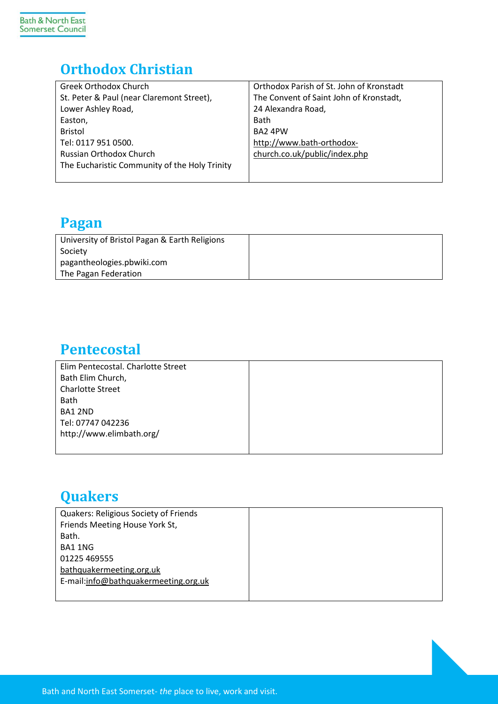## <span id="page-11-0"></span>**Orthodox Christian**

| <b>Greek Orthodox Church</b>                  | Orthodox Parish of St. John of Kronstadt |
|-----------------------------------------------|------------------------------------------|
| St. Peter & Paul (near Claremont Street),     | The Convent of Saint John of Kronstadt,  |
| Lower Ashley Road,                            | 24 Alexandra Road,                       |
| Easton,                                       | <b>Bath</b>                              |
| <b>Bristol</b>                                | BA2 4PW                                  |
| Tel: 0117 951 0500.                           | http://www.bath-orthodox-                |
| Russian Orthodox Church                       | church.co.uk/public/index.php            |
| The Eucharistic Community of the Holy Trinity |                                          |
|                                               |                                          |

#### <span id="page-11-1"></span>**Pagan**

<span id="page-11-2"></span>

| University of Bristol Pagan & Earth Religions |  |
|-----------------------------------------------|--|
| Society                                       |  |
| pagantheologies.pbwiki.com                    |  |
| The Pagan Federation                          |  |

#### **Pentecostal**

| Elim Pentecostal. Charlotte Street |  |
|------------------------------------|--|
| Bath Elim Church,                  |  |
| <b>Charlotte Street</b>            |  |
| <b>Bath</b>                        |  |
| BA1 2ND                            |  |
| Tel: 07747 042236                  |  |
| http://www.elimbath.org/           |  |
|                                    |  |
|                                    |  |

### <span id="page-11-3"></span>**Quakers**

| <b>Quakers: Religious Society of Friends</b> |  |
|----------------------------------------------|--|
| Friends Meeting House York St,               |  |
| Bath.                                        |  |
| BA1 1NG                                      |  |
| 01225 469555                                 |  |
| bathquakermeeting.org.uk                     |  |
| E-mail:info@bathquakermeeting.org.uk         |  |
|                                              |  |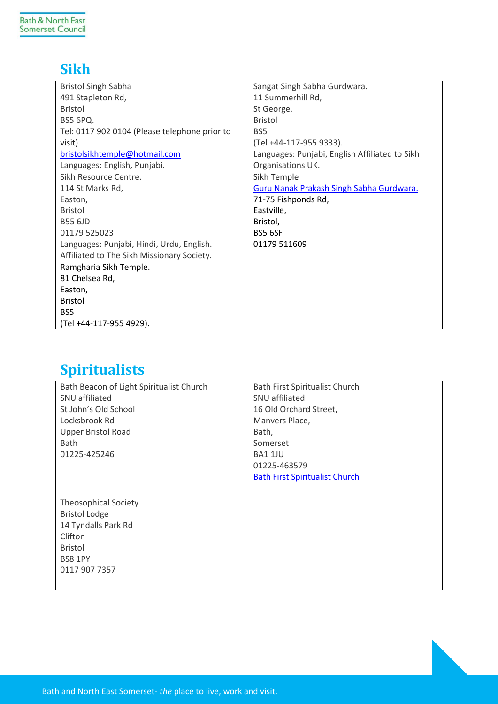#### <span id="page-12-0"></span>**Sikh**

| <b>Bristol Singh Sabha</b>                    | Sangat Singh Sabha Gurdwara.                   |
|-----------------------------------------------|------------------------------------------------|
| 491 Stapleton Rd,                             | 11 Summerhill Rd,                              |
| <b>Bristol</b>                                | St George,                                     |
| <b>BS5 6PQ.</b>                               | <b>Bristol</b>                                 |
| Tel: 0117 902 0104 (Please telephone prior to | BS <sub>5</sub>                                |
| visit)                                        | (Tel +44-117-955 9333).                        |
| bristolsikhtemple@hotmail.com                 | Languages: Punjabi, English Affiliated to Sikh |
| Languages: English, Punjabi.                  | Organisations UK.                              |
| Sikh Resource Centre.                         | Sikh Temple                                    |
| 114 St Marks Rd,                              | Guru Nanak Prakash Singh Sabha Gurdwara.       |
| Easton,                                       | 71-75 Fishponds Rd,                            |
| <b>Bristol</b>                                | Eastville,                                     |
| <b>B55 6JD</b>                                | Bristol,                                       |
| 01179 525023                                  | <b>BS5 6SF</b>                                 |
| Languages: Punjabi, Hindi, Urdu, English.     | 01179 511609                                   |
| Affiliated to The Sikh Missionary Society.    |                                                |
| Ramgharia Sikh Temple.                        |                                                |
| 81 Chelsea Rd,                                |                                                |
| Easton,                                       |                                                |
| <b>Bristol</b>                                |                                                |
| BS5                                           |                                                |
| (Tel +44-117-955 4929).                       |                                                |

## <span id="page-12-1"></span>**Spiritualists**

| Bath Beacon of Light Spiritualist Church | Bath First Spiritualist Church        |
|------------------------------------------|---------------------------------------|
| SNU affiliated                           | SNU affiliated                        |
| St John's Old School                     | 16 Old Orchard Street,                |
| Locksbrook Rd                            | Manvers Place,                        |
| <b>Upper Bristol Road</b>                | Bath,                                 |
| <b>Bath</b>                              | Somerset                              |
| 01225-425246                             | <b>BA1 1JU</b>                        |
|                                          | 01225-463579                          |
|                                          | <b>Bath First Spiritualist Church</b> |
|                                          |                                       |
| <b>Theosophical Society</b>              |                                       |
| <b>Bristol Lodge</b>                     |                                       |
| 14 Tyndalls Park Rd                      |                                       |
| Clifton                                  |                                       |
| <b>Bristol</b>                           |                                       |
| <b>BS8 1PY</b>                           |                                       |
| 0117 907 7357                            |                                       |
|                                          |                                       |